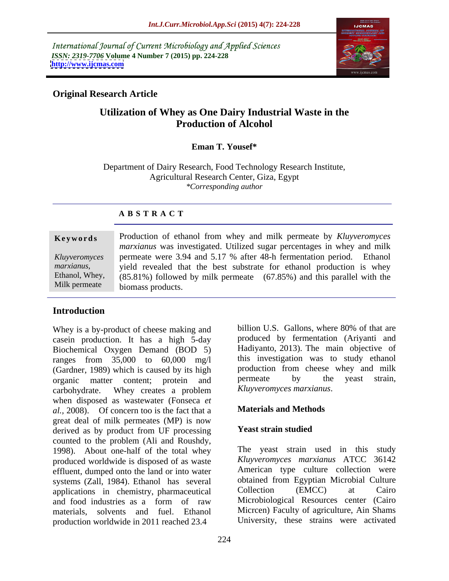International Journal of Current Microbiology and Applied Sciences *ISSN: 2319-7706* **Volume 4 Number 7 (2015) pp. 224-228 <http://www.ijcmas.com>**



## **Original Research Article**

# **Utilization of Whey as One Dairy Industrial Waste in the Production of Alcohol**

### **Eman T. Yousef\***

Department of Dairy Research, Food Technology Research Institute, Agricultural Research Center, Giza, Egypt *\*Corresponding author*

## **A B S T R A C T**

Milk permeate

**Keywords** Production of ethanol from whey and milk permeate by *Kluyveromyces marxianus* was investigated. Utilized sugar percentages in whey and milk permeate were 3.94 and 5.17 % after 48-h fermentation period. Ethanol *Kluyveromyces*  marxianus, yield revealed that the best substrate for ethanol production is whey<br>Ethanol, Whey, (85.81%) followed by milk permeate (67.85%) and this parallel with the (85.81%) followed by milk permeate (67.85%) and this parallel with the biomass products.

# **Introduction**

Whey is a by-product of cheese making and casein production. It has a high 5-day Biochemical Oxygen Demand (BOD 5) ranges from 35,000 to 60,000 mg/l (Gardner, 1989) which is caused by its high the production from cheese whey and milk<br>organic matter content: protein and permeate by the yeast strain, organic matter content; protein and permeate by the carbohydrate Whey creates a problem Kluyveromyces marxianus. carbohydrate. Whey creates a problem Kluyveromyces marxianus. when disposed as wastewater (Fonseca *et*<br>
al. 2008) Of concern too is the fact that a **Materials and Methods** *al.,* 2008). Of concern too is the fact that a great deal of milk permeates (MP) is now<br>derived as by product from LIE processing. Yeast strain studied derived as by product from UF processing counted to the problem (Ali and Roushdy, 1998). About one-half of the total whey produced worldwide is disposed of as waste effluent, dumped onto the land or into water systems (Zall, 1984). Ethanol has several botained from Egyptian Microbial Culture<br>applications in chemistry pharmaceutical Collection (EMCC) at Cairo applications in chemistry, pharmaceutical production worldwide in 2011 reached 23.4

billion U.S. Gallons, where 80% of that are produced by fermentation (Ariyanti and Hadiyanto, 2013). The main objective of this investigation was to study ethanol production from cheese whey and milk permeate by the yeast strain, *Kluyveromyces marxianus*.

### **Materials and Methods**

### **Yeast strain studied**

and food industries as a form of raw Microbiological Resources center (Cairo materials, solvents and fuel. Ethanol Micrcen) Faculty of agriculture, Ain Shams The yeast strain used in this study *Kluyveromyces marxianus* ATCC 36142 American type culture collection were obtained from Egyptian Microbial Culture Collection (EMCC) at Cairo Microbiological Resources center (Cairo University, these strains were activated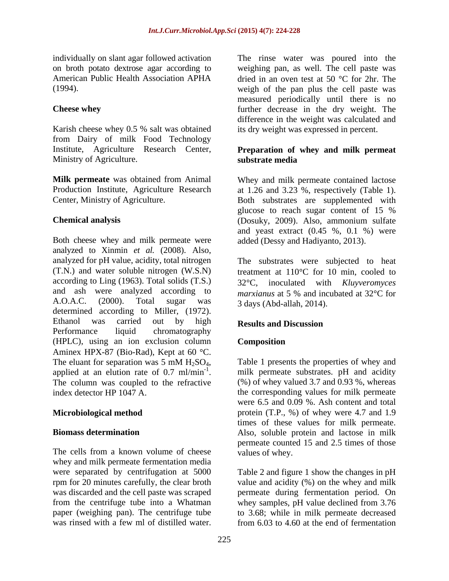Karish cheese whey 0.5 % salt was obtained from Dairy of milk Food Technology Institute, Agriculture Research Center, Ministry of Agriculture. Substrate media

Both cheese whey and milk permeate were analyzed to Xinmin *et al.* (2008). Also, analyzed for pH value, acidity, total nitrogen The substrates were subjected to heat (T.N.) and water soluble nitrogen  $(W.S.N)$  treatment at 110°C for 10 min, cooled to according to Ling (1963). Total solids  $(T.S.)$  32°C. and ash were analyzed according to A.O.A.C. (2000). Total sugar was 3 days (Abd-allah 2014) determined according to Miller, (1972). Ethanol was carried out by high **Results and Discussion** Performance liquid chromatography (HPLC), using an ion exclusion column Aminex HPX-87 (Bio-Rad), Kept at 60 °C. The eluant for separation was 5 mM  $H_2SO_4$ , Table 1 presents the properties of whey and applied at an elution rate of 0.7 ml/min<sup>-1</sup>. milk permeate substrates. pH and acidity applied at an elution rate of 0.7 ml/min<sup>-1</sup>. In milk permeate substrates. pH and acidity<br>The column was coupled to the refractive  $(%)$  of whey valued 3.7 and 0.93 %, whereas index detector HP 1047 A. the corresponding values for milk permeate

The cells from a known volume of cheese whey and milk permeate fermentation media were separated by centrifugation at 5000 rpm for 20 minutes carefully, the clear broth value and acidity (%) on the whey and milk was discarded and the cell paste was scraped permeate during fermentation period. On from the centrifuge tube into a Whatman whey samples, pH value declined from 3.76 paper (weighing pan). The centrifuge tube to 3.68; while in milk permeate decreased

individually on slant agar followed activation The rinse water was poured into the on broth potato dextrose agar according to weighing pan, as well. The cell paste was American Public Health Association APHA dried in an oven test at 50 °C for 2hr. The (1994). weigh of the pan plus the cell paste was **Cheese whey** further decrease in the dry weight. The measured periodically until there is no difference in the weight was calculated and its dry weight was expressed in percent.

### **Preparation of whey and milk permeat substrate media**

**Milk permeate** was obtained from Animal Whey and milk permeate contained lactose Production Institute, Agriculture Research at 1.26 and 3.23 %, respectively (Table 1). Center, Ministry of Agriculture. Both substrates are supplemented with **Chemical analysis** (Dosuky, 2009). Also, ammonium sulfate glucose to reach sugar content of 15 % and yeast extract (0.45 %, 0.1 %) were added (Dessy and Hadiyanto, 2013).

> inoculated with *Kluyveromyces marxianus* at 5 % and incubated at 32 °C for 3 days (Abd-allah, 2014).

# **Results and Discussion**

# **Composition**

<sup>-1</sup>. milk permeate substrates. pH and acidity **Microbiological method** protein (T.P., %) of whey were 4.7 and 1.9 **Biomass determination** Also, soluble protein and lactose in milk Table 1 presents the properties of whey and (%) of whey valued 3.7 and 0.93 %, whereas were 6.5 and 0.09 %. Ash content and total times of these values for milk permeate. permeate counted 15 and 2.5 times of those values of whey.

was rinsed with a few ml of distilled water. from 6.03 to 4.60 at the end of fermentationTable 2 and figure 1 show the changes in pH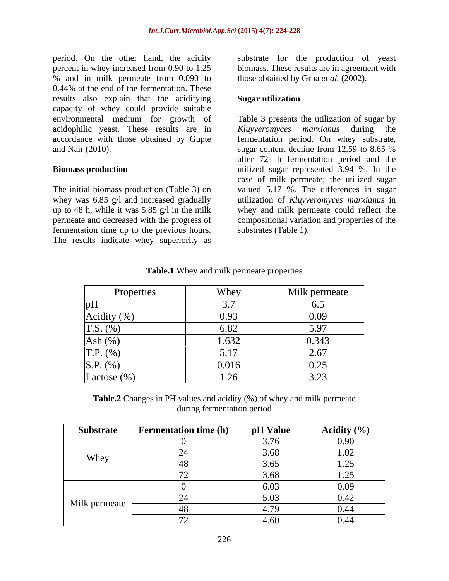period. On the other hand, the acidity substrate for the production of yeast percent in whey increased from 0.90 to 1.25 % and in milk permeate from 0.090 to 0.44% at the end of the fermentation. These results also explain that the acidifying **Sugar utilization** capacity of whey could provide suitable environmental medium for growth of Table 3 presents the utilization of sugar by acidophilic yeast. These results are in Kluyveromyces marxianus during the accordance with those obtained by Gupte fermentation period. On whey substrate, and Nair (2010). sugar content decline from 12.59 to 8.65 %

whey was 6.85 g/l and increased gradually fermentation time up to the previous hours. The results indicate whey superiority as

biomass. These results are in agreement with those obtained by Grba et al. (2002).

### **Sugar utilization**

**Biomass production** utilized sugar represented 3.94 %. In the The initial biomass production (Table 3) on valued 5.17 %. The differences in sugar up to 48 h, while it was 5.85 g/l in the milk whey and milk permeate could reflect the permeate and decreased with the progress of compositional variation and properties of the *Kluyveromyces marxianus* during sugar content decline from 12.59 to 8.65 % after 72- h fermentation period and the case of milk permeate; the utilized sugar utilization of *Kluyveromyces marxianus* in substrates (Table 1).

| Properties           | Whey          | Milk permeate                     |
|----------------------|---------------|-----------------------------------|
| pН                   | $\sim$ $\sim$ | ◡•◡                               |
| Acidity (%)          | 0.93          | 0.09                              |
| $\vert$ T.S. $(\% )$ | 6.82          | 5.97                              |
| Ash $(%)$            | 1.632         | 0.343                             |
| $T.P.$ (%)           | - 11<br>◡ ◦   | 2.67                              |
| S.P. (%)             | 0.016         | 0.25                              |
| Lactose $(\%)$       | 1.26          | $\Omega$<br>$\rightarrow$<br>J.4J |

**Table.1** Whey and milk permeate properties

**Table.2** Changes in PH values and acidity (%) of whey and milk permeate during fermentation period and the state of the state of the state of the state of the state of the state of the state of the state of the state of the state of the state of the state of the state of the state of the state

| Substrate     | <b>Fermentation time (h)</b> | pH Value | Acidity $(\% )$ |
|---------------|------------------------------|----------|-----------------|
| Whey          |                              | 3.76     | 0.90            |
|               |                              | 3.68     | 1.02            |
|               | 40                           | 3.65     | 1.25            |
|               |                              | 3.68     | 1.25            |
| Milk permeate |                              | 6.03     | 0.09            |
|               |                              | 5.03     | 0.42            |
|               | 40                           | 4.79     | 0.44            |
|               |                              | 4.60     | 0.44            |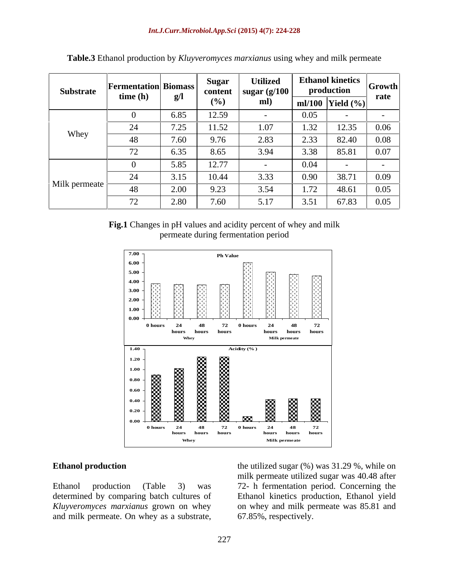| Substrate              | <b>Fermentation Biomass</b><br>time(h) | g/l          | Sugar<br>content<br>(0/0) | <b>Utilized</b><br>$\vert$ sugar (g/100 $\vert$<br>ml) | an   Ethanol kinetics   Growth  <br>production |                      | rate |
|------------------------|----------------------------------------|--------------|---------------------------|--------------------------------------------------------|------------------------------------------------|----------------------|------|
|                        |                                        |              |                           |                                                        |                                                | ml/100 Yield $(\% )$ |      |
| Whey                   |                                        | 6.85         | 12.59                     |                                                        | 0.05                                           |                      |      |
|                        | -44                                    | 7.25<br>1.2J | 11.52                     | 1.07                                                   | 1.32                                           | 12.35                | 0.06 |
|                        | 40.                                    | 7.60         | 9.76                      | 2.83                                                   | 2.33                                           | 82.40                | 0.08 |
|                        | 70<br>$\sqrt{2}$                       | 6.35         | 8.65                      | 3.94                                                   | 3.38                                           | 85.81                | 0.07 |
| Milk permeate $\vdash$ |                                        | 5.85         | 12.77                     |                                                        | 0.04                                           |                      |      |
|                        | $\mathcal{L}^{\mathcal{L}}$            | 3.15         | 10.44                     | 3.33                                                   | 0.90                                           | 38.71                | 0.09 |
|                        | 1 O<br>48                              | 2.00         | 9.23                      | 3.54                                                   | 1.72                                           | 48.61                | 0.05 |
|                        | 72<br>12                               | 2.80         | 7.60                      | 5.17                                                   | 3.51                                           | 67.83                | 0.05 |

**Table.3** Ethanol production by *Kluyveromyces marxianus* using whey and milk permeate

**Fig.1** Changes in pH values and acidity percent of whey and milk permeate during fermentation period



**Ethanol production** the utilized sugar (%) was 31.29 %, while on Ethanol production (Table 3) was 72- h fermentation period. Concerning the determined by comparing batch cultures of Ethanol kinetics production, Ethanol yield *Kluyveromyces marxianus* grown on whey on whey and milk permeate was 85.81 and **Ethanol production** the utilized sugar (%) was 31.29 %, while on<br>
Ethanol production (Table 3) was 72- h fermentation period. Concerning the<br>
determined by comparing batch cultures of Ethanol kinetics production, Ethanol milk permeate utilized sugar was 40.48 after